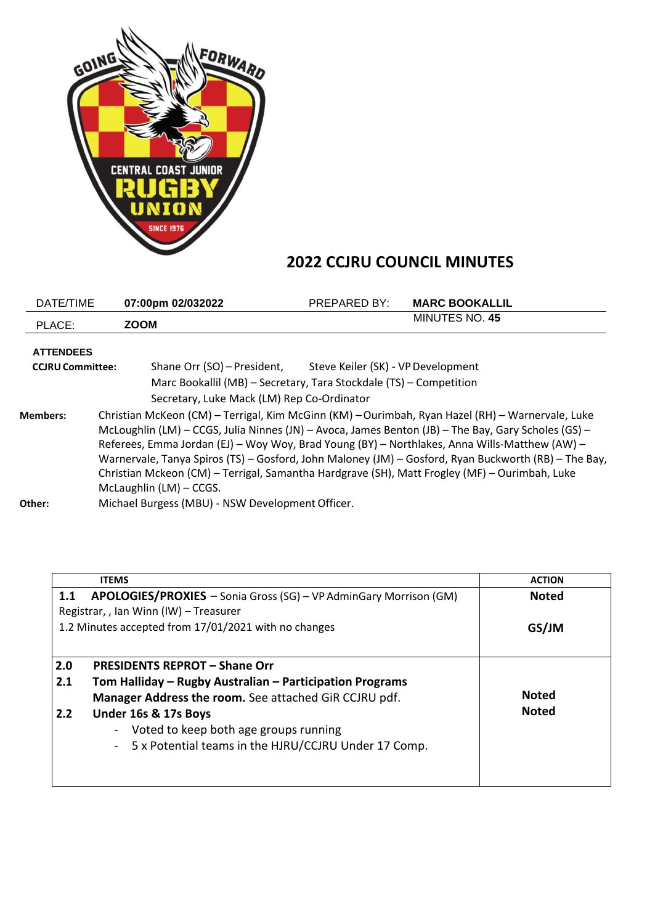

## **2022 CCJRU COUNCIL MINUTES**

| DATE/TIME               |                                                                                                                                                                                                                                                                                                                                                                                                                                                                                                                                              | 07:00pm 02/032022                                                  | <b>PREPARED BY:</b>                | <b>MARC BOOKALLIL</b> |  |  |
|-------------------------|----------------------------------------------------------------------------------------------------------------------------------------------------------------------------------------------------------------------------------------------------------------------------------------------------------------------------------------------------------------------------------------------------------------------------------------------------------------------------------------------------------------------------------------------|--------------------------------------------------------------------|------------------------------------|-----------------------|--|--|
| PLACE:                  | <b>ZOOM</b>                                                                                                                                                                                                                                                                                                                                                                                                                                                                                                                                  |                                                                    |                                    | <b>MINUTES NO. 45</b> |  |  |
| <b>ATTENDEES</b>        |                                                                                                                                                                                                                                                                                                                                                                                                                                                                                                                                              |                                                                    |                                    |                       |  |  |
| <b>CCJRU Committee:</b> |                                                                                                                                                                                                                                                                                                                                                                                                                                                                                                                                              | Shane Orr (SO) – President,                                        | Steve Keiler (SK) - VP Development |                       |  |  |
|                         |                                                                                                                                                                                                                                                                                                                                                                                                                                                                                                                                              | Marc Bookallil (MB) - Secretary, Tara Stockdale (TS) - Competition |                                    |                       |  |  |
|                         |                                                                                                                                                                                                                                                                                                                                                                                                                                                                                                                                              | Secretary, Luke Mack (LM) Rep Co-Ordinator                         |                                    |                       |  |  |
| <b>Members:</b>         | Christian McKeon (CM) - Terrigal, Kim McGinn (KM) - Ourimbah, Ryan Hazel (RH) - Warnervale, Luke<br>McLoughlin (LM) - CCGS, Julia Ninnes (JN) - Avoca, James Benton (JB) - The Bay, Gary Scholes (GS) -<br>Referees, Emma Jordan (EJ) - Woy Woy, Brad Young (BY) - Northlakes, Anna Wills-Matthew (AW) -<br>Warnervale, Tanya Spiros (TS) - Gosford, John Maloney (JM) - Gosford, Ryan Buckworth (RB) - The Bay,<br>Christian Mckeon (CM) - Terrigal, Samantha Hardgrave (SH), Matt Frogley (MF) - Ourimbah, Luke<br>McLaughlin (LM) - CCGS. |                                                                    |                                    |                       |  |  |
| Other:                  |                                                                                                                                                                                                                                                                                                                                                                                                                                                                                                                                              | Michael Burgess (MBU) - NSW Development Officer.                   |                                    |                       |  |  |

| <b>Noted</b> |
|--------------|
|              |
| GS/JM        |
|              |
| <b>Noted</b> |
| <b>Noted</b> |
|              |
|              |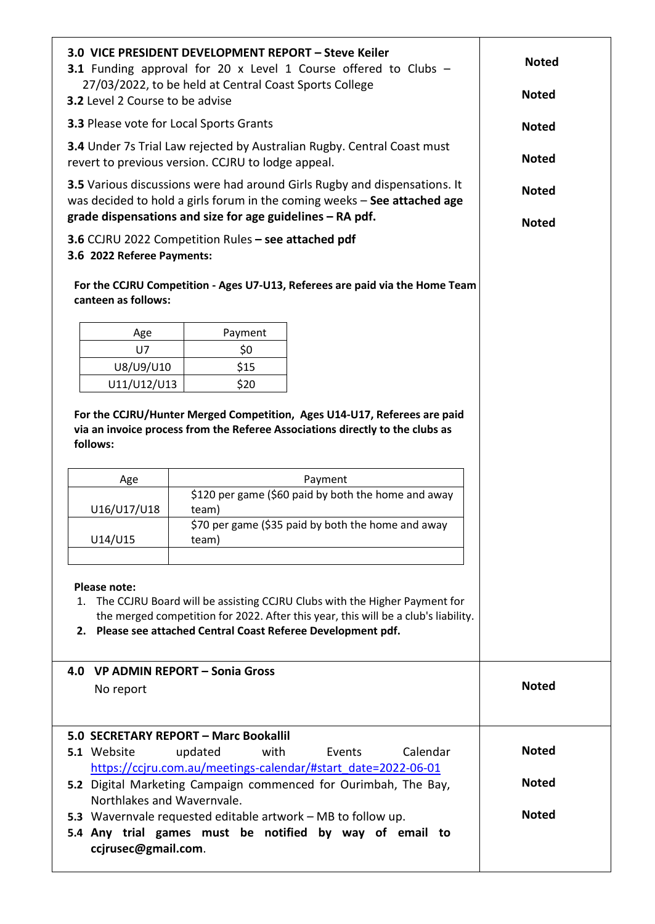| 3.0 VICE PRESIDENT DEVELOPMENT REPORT - Steve Keiler<br>3.1 Funding approval for 20 x Level 1 Course offered to Clubs -<br>27/03/2022, to be held at Central Coast Sports College                                                                                                        | <b>Noted</b><br><b>Noted</b>                                                                                                                                                                                       |                                                                                                                                  |              |  |  |  |  |
|------------------------------------------------------------------------------------------------------------------------------------------------------------------------------------------------------------------------------------------------------------------------------------------|--------------------------------------------------------------------------------------------------------------------------------------------------------------------------------------------------------------------|----------------------------------------------------------------------------------------------------------------------------------|--------------|--|--|--|--|
| 3.2 Level 2 Course to be advise                                                                                                                                                                                                                                                          |                                                                                                                                                                                                                    |                                                                                                                                  |              |  |  |  |  |
|                                                                                                                                                                                                                                                                                          | 3.3 Please vote for Local Sports Grants                                                                                                                                                                            |                                                                                                                                  |              |  |  |  |  |
|                                                                                                                                                                                                                                                                                          | revert to previous version. CCJRU to lodge appeal.                                                                                                                                                                 | 3.4 Under 7s Trial Law rejected by Australian Rugby. Central Coast must                                                          | <b>Noted</b> |  |  |  |  |
|                                                                                                                                                                                                                                                                                          | 3.5 Various discussions were had around Girls Rugby and dispensations. It<br>was decided to hold a girls forum in the coming weeks - See attached age<br>grade dispensations and size for age guidelines - RA pdf. |                                                                                                                                  |              |  |  |  |  |
| 3.6 CCJRU 2022 Competition Rules - see attached pdf<br>3.6 2022 Referee Payments:<br>For the CCJRU Competition - Ages U7-U13, Referees are paid via the Home Team                                                                                                                        | <b>Noted</b>                                                                                                                                                                                                       |                                                                                                                                  |              |  |  |  |  |
| canteen as follows:                                                                                                                                                                                                                                                                      |                                                                                                                                                                                                                    |                                                                                                                                  |              |  |  |  |  |
| Age                                                                                                                                                                                                                                                                                      | Payment                                                                                                                                                                                                            |                                                                                                                                  |              |  |  |  |  |
| U7                                                                                                                                                                                                                                                                                       | \$0                                                                                                                                                                                                                |                                                                                                                                  |              |  |  |  |  |
| U8/U9/U10                                                                                                                                                                                                                                                                                | \$15                                                                                                                                                                                                               |                                                                                                                                  |              |  |  |  |  |
| U11/U12/U13                                                                                                                                                                                                                                                                              | \$20                                                                                                                                                                                                               |                                                                                                                                  |              |  |  |  |  |
| Age                                                                                                                                                                                                                                                                                      | Payment                                                                                                                                                                                                            |                                                                                                                                  |              |  |  |  |  |
|                                                                                                                                                                                                                                                                                          | \$120 per game (\$60 paid by both the home and away                                                                                                                                                                |                                                                                                                                  |              |  |  |  |  |
| U16/U17/U18                                                                                                                                                                                                                                                                              | team)<br>\$70 per game (\$35 paid by both the home and away                                                                                                                                                        |                                                                                                                                  |              |  |  |  |  |
| U14/U15                                                                                                                                                                                                                                                                                  | team)                                                                                                                                                                                                              |                                                                                                                                  |              |  |  |  |  |
| Please note:<br>1. The CCJRU Board will be assisting CCJRU Clubs with the Higher Payment for<br>the merged competition for 2022. After this year, this will be a club's liability.<br>2. Please see attached Central Coast Referee Development pdf.<br>4.0 VP ADMIN REPORT - Sonia Gross |                                                                                                                                                                                                                    |                                                                                                                                  |              |  |  |  |  |
| No report                                                                                                                                                                                                                                                                                | <b>Noted</b>                                                                                                                                                                                                       |                                                                                                                                  |              |  |  |  |  |
|                                                                                                                                                                                                                                                                                          |                                                                                                                                                                                                                    |                                                                                                                                  |              |  |  |  |  |
| 5.1 Website                                                                                                                                                                                                                                                                              | 5.0 SECRETARY REPORT - Marc Bookallil<br>updated<br>with                                                                                                                                                           | Events<br>Calendar                                                                                                               | <b>Noted</b> |  |  |  |  |
|                                                                                                                                                                                                                                                                                          |                                                                                                                                                                                                                    | https://ccjru.com.au/meetings-calendar/#start_date=2022-06-01<br>5.2 Digital Marketing Campaign commenced for Ourimbah, The Bay, | <b>Noted</b> |  |  |  |  |
| Northlakes and Wavernvale.                                                                                                                                                                                                                                                               |                                                                                                                                                                                                                    | 5.3 Wavernvale requested editable artwork – MB to follow up.                                                                     | <b>Noted</b> |  |  |  |  |